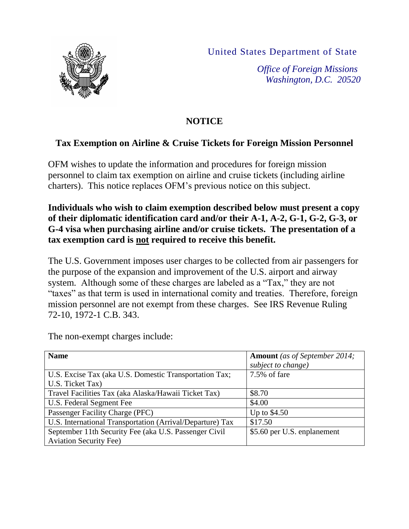United States Department of State



*Office of Foreign Missions Washington, D.C. 20520*

## **NOTICE**

## **Tax Exemption on Airline & Cruise Tickets for Foreign Mission Personnel**

OFM wishes to update the information and procedures for foreign mission personnel to claim tax exemption on airline and cruise tickets (including airline charters). This notice replaces OFM's previous notice on this subject.

## **Individuals who wish to claim exemption described below must present a copy of their diplomatic identification card and/or their A-1, A-2, G-1, G-2, G-3, or G-4 visa when purchasing airline and/or cruise tickets. The presentation of a tax exemption card is not required to receive this benefit.**

The U.S. Government imposes user charges to be collected from air passengers for the purpose of the expansion and improvement of the U.S. airport and airway system. Although some of these charges are labeled as a "Tax," they are not "taxes" as that term is used in international comity and treaties. Therefore, foreign mission personnel are not exempt from these charges. See IRS Revenue Ruling 72-10, 1972-1 C.B. 343.

| <b>Name</b>                                               | <b>Amount</b> (as of September 2014; |
|-----------------------------------------------------------|--------------------------------------|
|                                                           | subject to change)                   |
| U.S. Excise Tax (aka U.S. Domestic Transportation Tax;    | 7.5% of fare                         |
| U.S. Ticket Tax)                                          |                                      |
| Travel Facilities Tax (aka Alaska/Hawaii Ticket Tax)      | \$8.70                               |
| U.S. Federal Segment Fee                                  | \$4.00                               |
| Passenger Facility Charge (PFC)                           | Up to $$4.50$                        |
| U.S. International Transportation (Arrival/Departure) Tax | \$17.50                              |
| September 11th Security Fee (aka U.S. Passenger Civil     | \$5.60 per U.S. enplanement          |
| <b>Aviation Security Fee)</b>                             |                                      |

The non-exempt charges include: